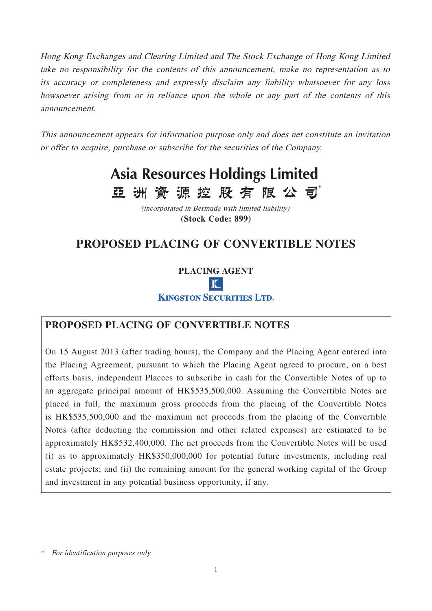Hong Kong Exchanges and Clearing Limited and The Stock Exchange of Hong Kong Limited take no responsibility for the contents of this announcement, make no representation as to its accuracy or completeness and expressly disclaim any liability whatsoever for any loss howsoever arising from or in reliance upon the whole or any part of the contents of this announcement.

This announcement appears for information purpose only and does net constitute an invitation or offer to acquire, purchase or subscribe for the securities of the Company.

# **Asia Resources Holdings Limited** 亞洲資源控股有限公司

(incorporated in Bermuda with limited liability) **(Stock Code: 899)**

# **PROPOSED PLACING OF CONVERTIBLE NOTES**

**PLACING AGENT**  $\mathbf{r}$ **KINGSTON SECURITIES LTD.** 

# **PROPOSED PLACING OF CONVERTIBLE NOTES**

On 15 August 2013 (after trading hours), the Company and the Placing Agent entered into the Placing Agreement, pursuant to which the Placing Agent agreed to procure, on a best efforts basis, independent Placees to subscribe in cash for the Convertible Notes of up to an aggregate principal amount of HK\$535,500,000. Assuming the Convertible Notes are placed in full, the maximum gross proceeds from the placing of the Convertible Notes is HK\$535,500,000 and the maximum net proceeds from the placing of the Convertible Notes (after deducting the commission and other related expenses) are estimated to be approximately HK\$532,400,000. The net proceeds from the Convertible Notes will be used (i) as to approximately HK\$350,000,000 for potential future investments, including real estate projects; and (ii) the remaining amount for the general working capital of the Group and investment in any potential business opportunity, if any.

\* For identification purposes only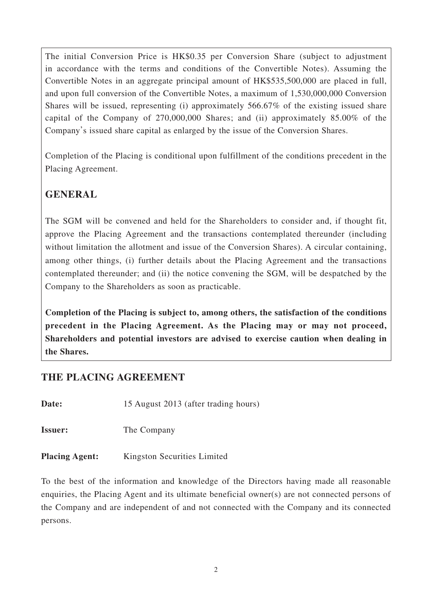The initial Conversion Price is HK\$0.35 per Conversion Share (subject to adjustment in accordance with the terms and conditions of the Convertible Notes). Assuming the Convertible Notes in an aggregate principal amount of HK\$535,500,000 are placed in full, and upon full conversion of the Convertible Notes, a maximum of 1,530,000,000 Conversion Shares will be issued, representing (i) approximately 566.67% of the existing issued share capital of the Company of 270,000,000 Shares; and (ii) approximately 85.00% of the Company's issued share capital as enlarged by the issue of the Conversion Shares.

Completion of the Placing is conditional upon fulfillment of the conditions precedent in the Placing Agreement.

# **GENERAL**

The SGM will be convened and held for the Shareholders to consider and, if thought fit, approve the Placing Agreement and the transactions contemplated thereunder (including without limitation the allotment and issue of the Conversion Shares). A circular containing, among other things, (i) further details about the Placing Agreement and the transactions contemplated thereunder; and (ii) the notice convening the SGM, will be despatched by the Company to the Shareholders as soon as practicable.

**Completion of the Placing is subject to, among others, the satisfaction of the conditions precedent in the Placing Agreement. As the Placing may or may not proceed, Shareholders and potential investors are advised to exercise caution when dealing in the Shares.**

### **THE PLACING AGREEMENT**

**Date:** 15 August 2013 (after trading hours)

**Issuer:** The Company

**Placing Agent:** Kingston Securities Limited

To the best of the information and knowledge of the Directors having made all reasonable enquiries, the Placing Agent and its ultimate beneficial owner(s) are not connected persons of the Company and are independent of and not connected with the Company and its connected persons.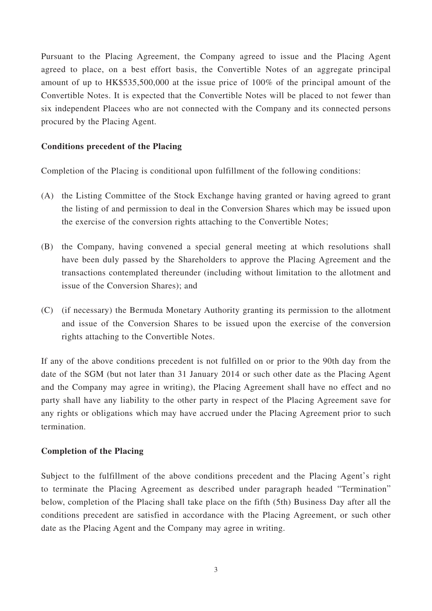Pursuant to the Placing Agreement, the Company agreed to issue and the Placing Agent agreed to place, on a best effort basis, the Convertible Notes of an aggregate principal amount of up to HK\$535,500,000 at the issue price of 100% of the principal amount of the Convertible Notes. It is expected that the Convertible Notes will be placed to not fewer than six independent Placees who are not connected with the Company and its connected persons procured by the Placing Agent.

#### **Conditions precedent of the Placing**

Completion of the Placing is conditional upon fulfillment of the following conditions:

- (A) the Listing Committee of the Stock Exchange having granted or having agreed to grant the listing of and permission to deal in the Conversion Shares which may be issued upon the exercise of the conversion rights attaching to the Convertible Notes;
- (B) the Company, having convened a special general meeting at which resolutions shall have been duly passed by the Shareholders to approve the Placing Agreement and the transactions contemplated thereunder (including without limitation to the allotment and issue of the Conversion Shares); and
- (C) (if necessary) the Bermuda Monetary Authority granting its permission to the allotment and issue of the Conversion Shares to be issued upon the exercise of the conversion rights attaching to the Convertible Notes.

If any of the above conditions precedent is not fulfilled on or prior to the 90th day from the date of the SGM (but not later than 31 January 2014 or such other date as the Placing Agent and the Company may agree in writing), the Placing Agreement shall have no effect and no party shall have any liability to the other party in respect of the Placing Agreement save for any rights or obligations which may have accrued under the Placing Agreement prior to such termination.

#### **Completion of the Placing**

Subject to the fulfillment of the above conditions precedent and the Placing Agent's right to terminate the Placing Agreement as described under paragraph headed "Termination" below, completion of the Placing shall take place on the fifth (5th) Business Day after all the conditions precedent are satisfied in accordance with the Placing Agreement, or such other date as the Placing Agent and the Company may agree in writing.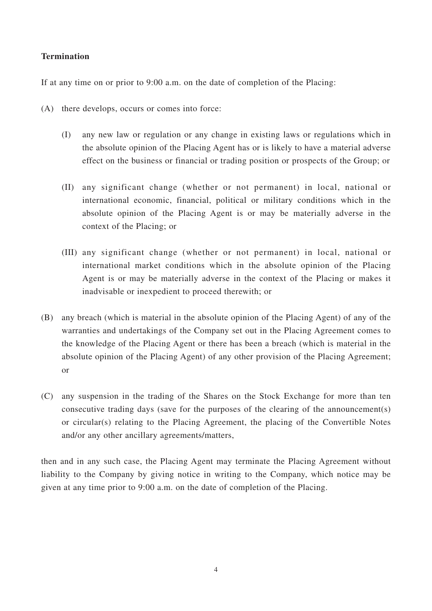#### **Termination**

If at any time on or prior to 9:00 a.m. on the date of completion of the Placing:

- (A) there develops, occurs or comes into force:
	- (I) any new law or regulation or any change in existing laws or regulations which in the absolute opinion of the Placing Agent has or is likely to have a material adverse effect on the business or financial or trading position or prospects of the Group; or
	- (II) any significant change (whether or not permanent) in local, national or international economic, financial, political or military conditions which in the absolute opinion of the Placing Agent is or may be materially adverse in the context of the Placing; or
	- (III) any significant change (whether or not permanent) in local, national or international market conditions which in the absolute opinion of the Placing Agent is or may be materially adverse in the context of the Placing or makes it inadvisable or inexpedient to proceed therewith; or
- (B) any breach (which is material in the absolute opinion of the Placing Agent) of any of the warranties and undertakings of the Company set out in the Placing Agreement comes to the knowledge of the Placing Agent or there has been a breach (which is material in the absolute opinion of the Placing Agent) of any other provision of the Placing Agreement; or
- (C) any suspension in the trading of the Shares on the Stock Exchange for more than ten consecutive trading days (save for the purposes of the clearing of the announcement(s) or circular(s) relating to the Placing Agreement, the placing of the Convertible Notes and/or any other ancillary agreements/matters,

then and in any such case, the Placing Agent may terminate the Placing Agreement without liability to the Company by giving notice in writing to the Company, which notice may be given at any time prior to 9:00 a.m. on the date of completion of the Placing.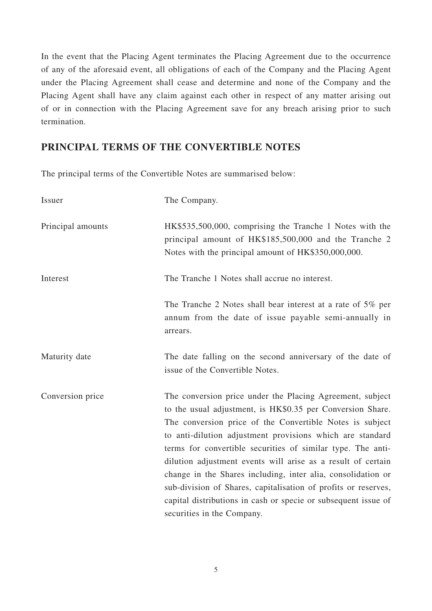In the event that the Placing Agent terminates the Placing Agreement due to the occurrence of any of the aforesaid event, all obligations of each of the Company and the Placing Agent under the Placing Agreement shall cease and determine and none of the Company and the Placing Agent shall have any claim against each other in respect of any matter arising out of or in connection with the Placing Agreement save for any breach arising prior to such termination.

### **PRINCIPAL TERMS OF THE CONVERTIBLE NOTES**

The principal terms of the Convertible Notes are summarised below:

| Issuer            | The Company.                                                                                                                                                                                                                                                                                                                                                                                                                                                                                                                                                                                                      |
|-------------------|-------------------------------------------------------------------------------------------------------------------------------------------------------------------------------------------------------------------------------------------------------------------------------------------------------------------------------------------------------------------------------------------------------------------------------------------------------------------------------------------------------------------------------------------------------------------------------------------------------------------|
| Principal amounts | HK\$535,500,000, comprising the Tranche 1 Notes with the<br>principal amount of HK\$185,500,000 and the Tranche 2<br>Notes with the principal amount of HK\$350,000,000.                                                                                                                                                                                                                                                                                                                                                                                                                                          |
| Interest          | The Tranche 1 Notes shall accrue no interest.                                                                                                                                                                                                                                                                                                                                                                                                                                                                                                                                                                     |
|                   | The Tranche 2 Notes shall bear interest at a rate of 5% per<br>annum from the date of issue payable semi-annually in<br>arrears.                                                                                                                                                                                                                                                                                                                                                                                                                                                                                  |
| Maturity date     | The date falling on the second anniversary of the date of<br>issue of the Convertible Notes.                                                                                                                                                                                                                                                                                                                                                                                                                                                                                                                      |
| Conversion price  | The conversion price under the Placing Agreement, subject<br>to the usual adjustment, is HK\$0.35 per Conversion Share.<br>The conversion price of the Convertible Notes is subject<br>to anti-dilution adjustment provisions which are standard<br>terms for convertible securities of similar type. The anti-<br>dilution adjustment events will arise as a result of certain<br>change in the Shares including, inter alia, consolidation or<br>sub-division of Shares, capitalisation of profits or reserves,<br>capital distributions in cash or specie or subsequent issue of<br>securities in the Company. |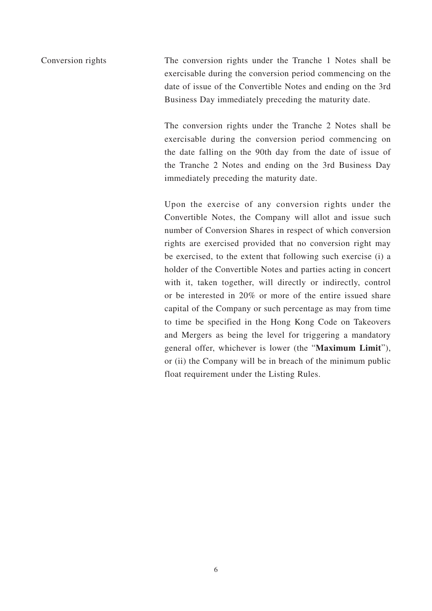Conversion rights The conversion rights under the Tranche 1 Notes shall be exercisable during the conversion period commencing on the date of issue of the Convertible Notes and ending on the 3rd Business Day immediately preceding the maturity date.

> The conversion rights under the Tranche 2 Notes shall be exercisable during the conversion period commencing on the date falling on the 90th day from the date of issue of the Tranche 2 Notes and ending on the 3rd Business Day immediately preceding the maturity date.

> Upon the exercise of any conversion rights under the Convertible Notes, the Company will allot and issue such number of Conversion Shares in respect of which conversion rights are exercised provided that no conversion right may be exercised, to the extent that following such exercise (i) a holder of the Convertible Notes and parties acting in concert with it, taken together, will directly or indirectly, control or be interested in 20% or more of the entire issued share capital of the Company or such percentage as may from time to time be specified in the Hong Kong Code on Takeovers and Mergers as being the level for triggering a mandatory general offer, whichever is lower (the "**Maximum Limit**"), or (ii) the Company will be in breach of the minimum public float requirement under the Listing Rules.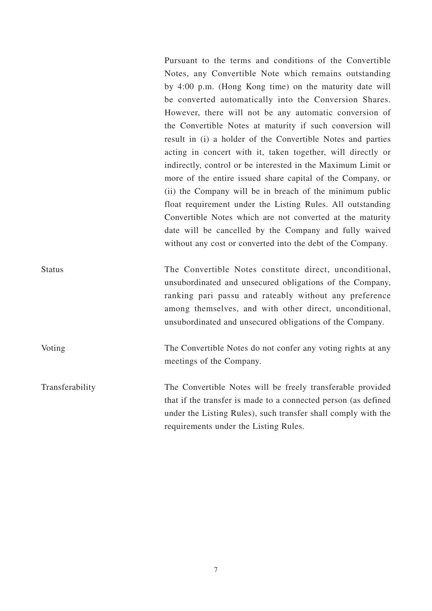Pursuant to the terms and conditions of the Convertible Notes, any Convertible Note which remains outstanding by 4:00 p.m. (Hong Kong time) on the maturity date will be converted automatically into the Conversion Shares. However, there will not be any automatic conversion of the Convertible Notes at maturity if such conversion will result in (i) a holder of the Convertible Notes and parties acting in concert with it, taken together, will directly or indirectly, control or be interested in the Maximum Limit or more of the entire issued share capital of the Company, or (ii) the Company will be in breach of the minimum public float requirement under the Listing Rules. All outstanding Convertible Notes which are not converted at the maturity date will be cancelled by the Company and fully waived without any cost or converted into the debt of the Company.

Status The Convertible Notes constitute direct, unconditional, unsubordinated and unsecured obligations of the Company, ranking pari passu and rateably without any preference among themselves, and with other direct, unconditional, unsubordinated and unsecured obligations of the Company.

Voting The Convertible Notes do not confer any voting rights at any meetings of the Company.

Transferability The Convertible Notes will be freely transferable provided that if the transfer is made to a connected person (as defined under the Listing Rules), such transfer shall comply with the requirements under the Listing Rules.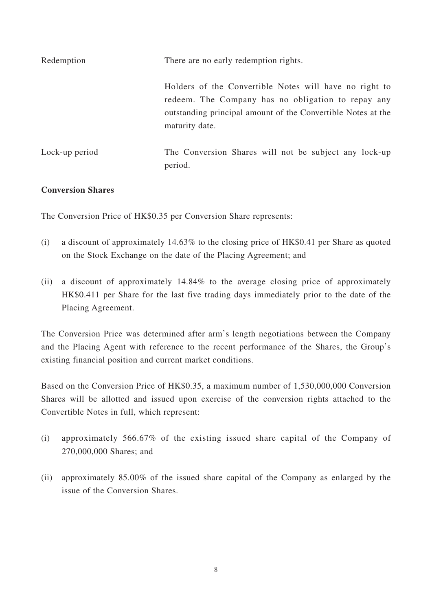| Redemption     | There are no early redemption rights.                                                                                                                                                          |
|----------------|------------------------------------------------------------------------------------------------------------------------------------------------------------------------------------------------|
|                | Holders of the Convertible Notes will have no right to<br>redeem. The Company has no obligation to repay any<br>outstanding principal amount of the Convertible Notes at the<br>maturity date. |
| Lock-up period | The Conversion Shares will not be subject any lock-up<br>period.                                                                                                                               |

#### **Conversion Shares**

The Conversion Price of HK\$0.35 per Conversion Share represents:

- (i) a discount of approximately 14.63% to the closing price of HK\$0.41 per Share as quoted on the Stock Exchange on the date of the Placing Agreement; and
- (ii) a discount of approximately 14.84% to the average closing price of approximately HK\$0.411 per Share for the last five trading days immediately prior to the date of the Placing Agreement.

The Conversion Price was determined after arm's length negotiations between the Company and the Placing Agent with reference to the recent performance of the Shares, the Group's existing financial position and current market conditions.

Based on the Conversion Price of HK\$0.35, a maximum number of 1,530,000,000 Conversion Shares will be allotted and issued upon exercise of the conversion rights attached to the Convertible Notes in full, which represent:

- (i) approximately 566.67% of the existing issued share capital of the Company of 270,000,000 Shares; and
- (ii) approximately 85.00% of the issued share capital of the Company as enlarged by the issue of the Conversion Shares.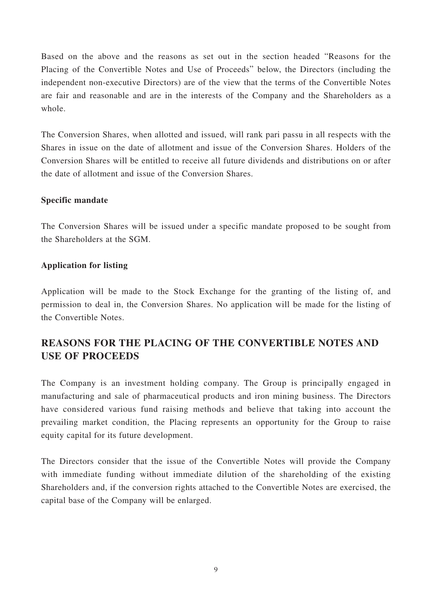Based on the above and the reasons as set out in the section headed "Reasons for the Placing of the Convertible Notes and Use of Proceeds" below, the Directors (including the independent non-executive Directors) are of the view that the terms of the Convertible Notes are fair and reasonable and are in the interests of the Company and the Shareholders as a whole.

The Conversion Shares, when allotted and issued, will rank pari passu in all respects with the Shares in issue on the date of allotment and issue of the Conversion Shares. Holders of the Conversion Shares will be entitled to receive all future dividends and distributions on or after the date of allotment and issue of the Conversion Shares.

#### **Specific mandate**

The Conversion Shares will be issued under a specific mandate proposed to be sought from the Shareholders at the SGM.

#### **Application for listing**

Application will be made to the Stock Exchange for the granting of the listing of, and permission to deal in, the Conversion Shares. No application will be made for the listing of the Convertible Notes.

# **REASONS FOR THE PLACING OF THE CONVERTIBLE NOTES AND USE OF PROCEEDS**

The Company is an investment holding company. The Group is principally engaged in manufacturing and sale of pharmaceutical products and iron mining business. The Directors have considered various fund raising methods and believe that taking into account the prevailing market condition, the Placing represents an opportunity for the Group to raise equity capital for its future development.

The Directors consider that the issue of the Convertible Notes will provide the Company with immediate funding without immediate dilution of the shareholding of the existing Shareholders and, if the conversion rights attached to the Convertible Notes are exercised, the capital base of the Company will be enlarged.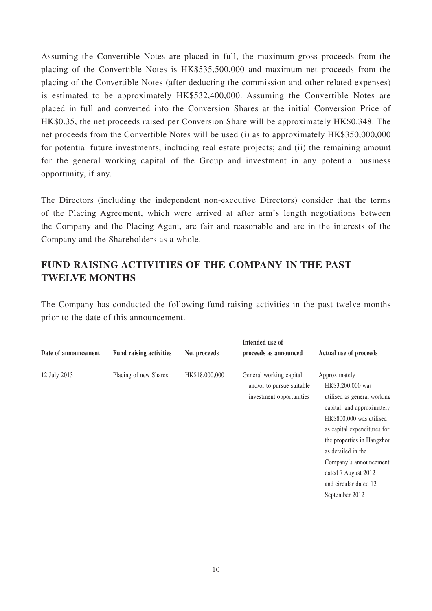Assuming the Convertible Notes are placed in full, the maximum gross proceeds from the placing of the Convertible Notes is HK\$535,500,000 and maximum net proceeds from the placing of the Convertible Notes (after deducting the commission and other related expenses) is estimated to be approximately HK\$532,400,000. Assuming the Convertible Notes are placed in full and converted into the Conversion Shares at the initial Conversion Price of HK\$0.35, the net proceeds raised per Conversion Share will be approximately HK\$0.348. The net proceeds from the Convertible Notes will be used (i) as to approximately HK\$350,000,000 for potential future investments, including real estate projects; and (ii) the remaining amount for the general working capital of the Group and investment in any potential business opportunity, if any.

The Directors (including the independent non-executive Directors) consider that the terms of the Placing Agreement, which were arrived at after arm's length negotiations between the Company and the Placing Agent, are fair and reasonable and are in the interests of the Company and the Shareholders as a whole.

# **FUND RAISING ACTIVITIES OF THE COMPANY IN THE PAST TWELVE MONTHS**

The Company has conducted the following fund raising activities in the past twelve months prior to the date of this announcement.

|                      |                                |                | Intended use of                                                                  |                                                                                                                                                                                                                                                                                                            |
|----------------------|--------------------------------|----------------|----------------------------------------------------------------------------------|------------------------------------------------------------------------------------------------------------------------------------------------------------------------------------------------------------------------------------------------------------------------------------------------------------|
| Date of announcement | <b>Fund raising activities</b> | Net proceeds   | proceeds as announced                                                            | Actual use of proceeds                                                                                                                                                                                                                                                                                     |
| 12 July 2013         | Placing of new Shares          | HK\$18,000,000 | General working capital<br>and/or to pursue suitable<br>investment opportunities | Approximately<br>HK\$3,200,000 was<br>utilised as general working<br>capital; and approximately<br>HK\$800,000 was utilised<br>as capital expenditures for<br>the properties in Hangzhou<br>as detailed in the<br>Company's announcement<br>dated 7 August 2012<br>and circular dated 12<br>September 2012 |
|                      |                                |                |                                                                                  |                                                                                                                                                                                                                                                                                                            |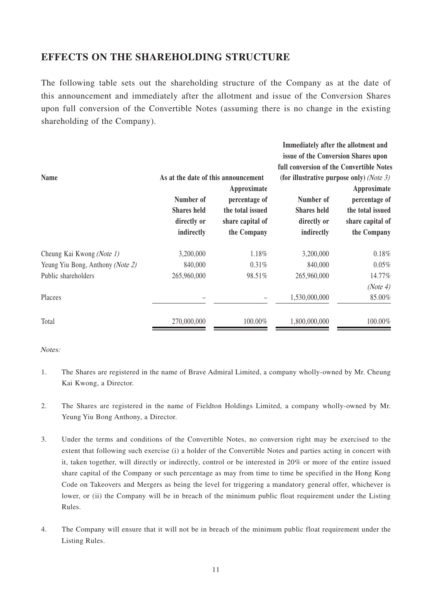### **EFFECTS ON THE SHAREHOLDING STRUCTURE**

The following table sets out the shareholding structure of the Company as at the date of this announcement and immediately after the allotment and issue of the Conversion Shares upon full conversion of the Convertible Notes (assuming there is no change in the existing shareholding of the Company).

**Immediately after the allotment and** 

| <b>Name</b>                      | As at the date of this announcement                          |                                                                                     | Thilliequately after the anothement and<br>issue of the Conversion Shares upon<br>full conversion of the Convertible Notes<br>(for illustrative purpose only) (Note 3) |                                                                                     |
|----------------------------------|--------------------------------------------------------------|-------------------------------------------------------------------------------------|------------------------------------------------------------------------------------------------------------------------------------------------------------------------|-------------------------------------------------------------------------------------|
|                                  | Number of<br><b>Shares</b> held<br>directly or<br>indirectly | Approximate<br>percentage of<br>the total issued<br>share capital of<br>the Company | Number of<br><b>Shares</b> held<br>directly or<br>indirectly                                                                                                           | Approximate<br>percentage of<br>the total issued<br>share capital of<br>the Company |
| Cheung Kai Kwong (Note 1)        | 3,200,000                                                    | 1.18%                                                                               | 3,200,000                                                                                                                                                              | 0.18%                                                                               |
| Yeung Yiu Bong, Anthony (Note 2) | 840,000                                                      | $0.31\%$                                                                            | 840,000                                                                                                                                                                | $0.05\%$                                                                            |
| Public shareholders              | 265,960,000                                                  | 98.51%                                                                              | 265,960,000                                                                                                                                                            | 14.77%<br>(Note 4)                                                                  |
| Placees                          |                                                              |                                                                                     | 1,530,000,000                                                                                                                                                          | 85.00%                                                                              |
| Total                            | 270,000,000                                                  | 100.00%                                                                             | 1,800,000,000                                                                                                                                                          | 100.00%                                                                             |

Notes:

- 1. The Shares are registered in the name of Brave Admiral Limited, a company wholly-owned by Mr. Cheung Kai Kwong, a Director.
- 2. The Shares are registered in the name of Fieldton Holdings Limited, a company wholly-owned by Mr. Yeung Yiu Bong Anthony, a Director.
- 3. Under the terms and conditions of the Convertible Notes, no conversion right may be exercised to the extent that following such exercise (i) a holder of the Convertible Notes and parties acting in concert with it, taken together, will directly or indirectly, control or be interested in 20% or more of the entire issued share capital of the Company or such percentage as may from time to time be specified in the Hong Kong Code on Takeovers and Mergers as being the level for triggering a mandatory general offer, whichever is lower, or (ii) the Company will be in breach of the minimum public float requirement under the Listing Rules.
- 4. The Company will ensure that it will not be in breach of the minimum public float requirement under the Listing Rules.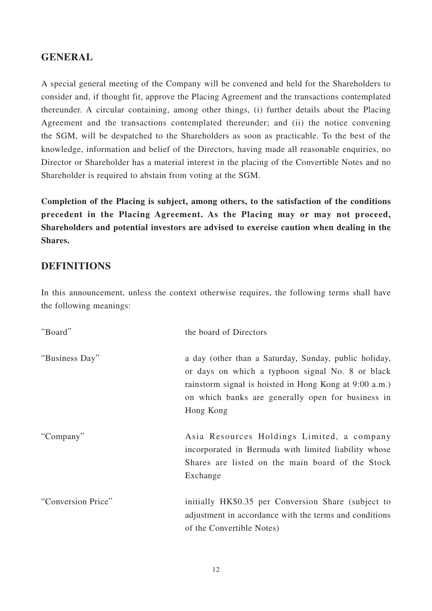### **GENERAL**

A special general meeting of the Company will be convened and held for the Shareholders to consider and, if thought fit, approve the Placing Agreement and the transactions contemplated thereunder. A circular containing, among other things, (i) further details about the Placing Agreement and the transactions contemplated thereunder; and (ii) the notice convening the SGM, will be despatched to the Shareholders as soon as practicable. To the best of the knowledge, information and belief of the Directors, having made all reasonable enquiries, no Director or Shareholder has a material interest in the placing of the Convertible Notes and no Shareholder is required to abstain from voting at the SGM.

**Completion of the Placing is subject, among others, to the satisfaction of the conditions precedent in the Placing Agreement. As the Placing may or may not proceed, Shareholders and potential investors are advised to exercise caution when dealing in the Shares.**

### **DEFINITIONS**

In this announcement, unless the context otherwise requires, the following terms shall have the following meanings:

| "Board"            | the board of Directors                                                                                                                                                                                                                |
|--------------------|---------------------------------------------------------------------------------------------------------------------------------------------------------------------------------------------------------------------------------------|
| "Business Day"     | a day (other than a Saturday, Sunday, public holiday,<br>or days on which a typhoon signal No. 8 or black<br>rainstorm signal is hoisted in Hong Kong at 9:00 a.m.)<br>on which banks are generally open for business in<br>Hong Kong |
| "Company"          | Asia Resources Holdings Limited, a company<br>incorporated in Bermuda with limited liability whose<br>Shares are listed on the main board of the Stock<br>Exchange                                                                    |
| "Conversion Price" | initially HK\$0.35 per Conversion Share (subject to<br>adjustment in accordance with the terms and conditions<br>of the Convertible Notes)                                                                                            |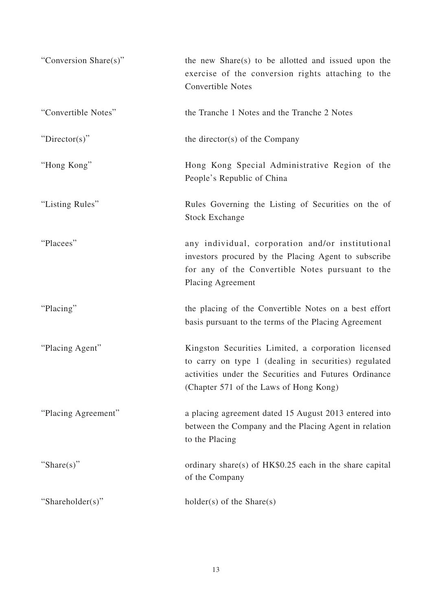| "Conversion Share(s)" | the new Share(s) to be allotted and issued upon the<br>exercise of the conversion rights attaching to the<br><b>Convertible Notes</b>                                                                          |
|-----------------------|----------------------------------------------------------------------------------------------------------------------------------------------------------------------------------------------------------------|
| "Convertible Notes"   | the Tranche 1 Notes and the Tranche 2 Notes                                                                                                                                                                    |
| " $Directory$ "       | the director(s) of the Company                                                                                                                                                                                 |
| "Hong Kong"           | Hong Kong Special Administrative Region of the<br>People's Republic of China                                                                                                                                   |
| "Listing Rules"       | Rules Governing the Listing of Securities on the of<br><b>Stock Exchange</b>                                                                                                                                   |
| "Placees"             | any individual, corporation and/or institutional<br>investors procured by the Placing Agent to subscribe<br>for any of the Convertible Notes pursuant to the<br>Placing Agreement                              |
| "Placing"             | the placing of the Convertible Notes on a best effort<br>basis pursuant to the terms of the Placing Agreement                                                                                                  |
| "Placing Agent"       | Kingston Securities Limited, a corporation licensed<br>to carry on type 1 (dealing in securities) regulated<br>activities under the Securities and Futures Ordinance<br>(Chapter 571 of the Laws of Hong Kong) |
| "Placing Agreement"   | a placing agreement dated 15 August 2013 entered into<br>between the Company and the Placing Agent in relation<br>to the Placing                                                                               |
| "Share(s)"            | ordinary share(s) of $HK$0.25$ each in the share capital<br>of the Company                                                                                                                                     |
| "Shareholder(s)"      | $holder(s)$ of the Share(s)                                                                                                                                                                                    |